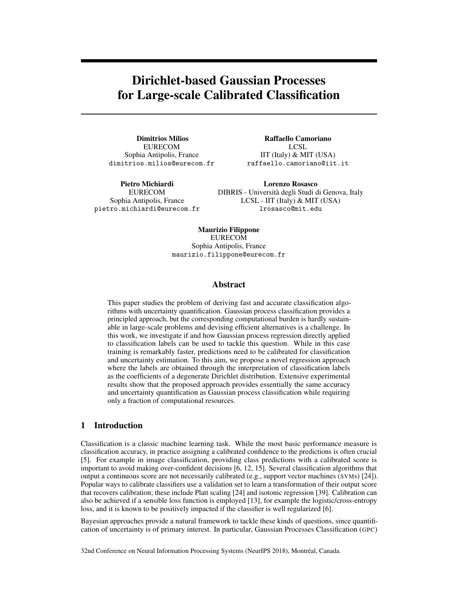# Dirichlet-based Gaussian Processes for Large-scale Calibrated Classification

Dimitrios Milios EURECOM Sophia Antipolis, France dimitrios.milios@eurecom.fr

pietro.michiardi@eurecom.fr

Pietro Michiardi EURECOM Sophia Antipolis, France

Lorenzo Rosasco DIBRIS - Università degli Studi di Genova, Italy LCSL - IIT (Italy) & MIT (USA)

Raffaello Camoriano LCSL. IIT (Italy) & MIT (USA) raffaello.camoriano@iit.it

lrosasco@mit.edu

Maurizio Filippone EURECOM Sophia Antipolis, France maurizio.filippone@eurecom.fr

### Abstract

This paper studies the problem of deriving fast and accurate classification algorithms with uncertainty quantification. Gaussian process classification provides a principled approach, but the corresponding computational burden is hardly sustainable in large-scale problems and devising efficient alternatives is a challenge. In this work, we investigate if and how Gaussian process regression directly applied to classification labels can be used to tackle this question. While in this case training is remarkably faster, predictions need to be calibrated for classification and uncertainty estimation. To this aim, we propose a novel regression approach where the labels are obtained through the interpretation of classification labels as the coefficients of a degenerate Dirichlet distribution. Extensive experimental results show that the proposed approach provides essentially the same accuracy and uncertainty quantification as Gaussian process classification while requiring only a fraction of computational resources.

## 1 Introduction

Classification is a classic machine learning task. While the most basic performance measure is classification accuracy, in practice assigning a calibrated confidence to the predictions is often crucial [5]. For example in image classification, providing class predictions with a calibrated score is important to avoid making over-confident decisions [6, 12, 15]. Several classification algorithms that output a continuous score are not necessarily calibrated (e.g., support vector machines (SVMs) [24]). Popular ways to calibrate classifiers use a validation set to learn a transformation of their output score that recovers calibration; these include Platt scaling [24] and isotonic regression [39]. Calibration can also be achieved if a sensible loss function is employed [13], for example the logistic/cross-entropy loss, and it is known to be positively impacted if the classifier is well regularized [6].

Bayesian approaches provide a natural framework to tackle these kinds of questions, since quantification of uncertainty is of primary interest. In particular, Gaussian Processes Classification (GPC)

32nd Conference on Neural Information Processing Systems (NeurIPS 2018), Montréal, Canada.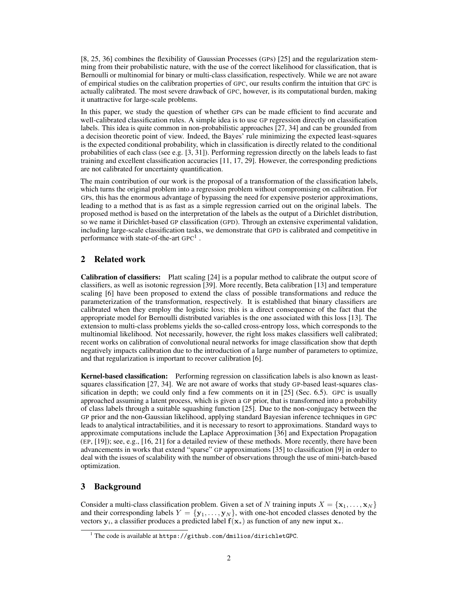[8, 25, 36] combines the flexibility of Gaussian Processes (GPs) [25] and the regularization stemming from their probabilistic nature, with the use of the correct likelihood for classification, that is Bernoulli or multinomial for binary or multi-class classification, respectively. While we are not aware of empirical studies on the calibration properties of GPC, our results confirm the intuition that GPC is actually calibrated. The most severe drawback of GPC, however, is its computational burden, making it unattractive for large-scale problems.

In this paper, we study the question of whether GPs can be made efficient to find accurate and well-calibrated classification rules. A simple idea is to use GP regression directly on classification labels. This idea is quite common in non-probabilistic approaches [27, 34] and can be grounded from a decision theoretic point of view. Indeed, the Bayes' rule minimizing the expected least-squares is the expected conditional probability, which in classification is directly related to the conditional probabilities of each class (see e.g. [3, 31]). Performing regression directly on the labels leads to fast training and excellent classification accuracies [11, 17, 29]. However, the corresponding predictions are not calibrated for uncertainty quantification.

The main contribution of our work is the proposal of a transformation of the classification labels, which turns the original problem into a regression problem without compromising on calibration. For GPs, this has the enormous advantage of bypassing the need for expensive posterior approximations, leading to a method that is as fast as a simple regression carried out on the original labels. The proposed method is based on the interpretation of the labels as the output of a Dirichlet distribution, so we name it Dirichlet-based GP classification (GPD). Through an extensive experimental validation, including large-scale classification tasks, we demonstrate that GPD is calibrated and competitive in performance with state-of-the-art  $\text{GPC}^1$ .

## 2 Related work

Calibration of classifiers: Platt scaling [24] is a popular method to calibrate the output score of classifiers, as well as isotonic regression [39]. More recently, Beta calibration [13] and temperature scaling [6] have been proposed to extend the class of possible transformations and reduce the parameterization of the transformation, respectively. It is established that binary classifiers are calibrated when they employ the logistic loss; this is a direct consequence of the fact that the appropriate model for Bernoulli distributed variables is the one associated with this loss [13]. The extension to multi-class problems yields the so-called cross-entropy loss, which corresponds to the multinomial likelihood. Not necessarily, however, the right loss makes classifiers well calibrated; recent works on calibration of convolutional neural networks for image classification show that depth negatively impacts calibration due to the introduction of a large number of parameters to optimize, and that regularization is important to recover calibration [6].

Kernel-based classification: Performing regression on classification labels is also known as leastsquares classification [27, 34]. We are not aware of works that study GP-based least-squares classification in depth; we could only find a few comments on it in [25] (Sec. 6.5). GPC is usually approached assuming a latent process, which is given a GP prior, that is transformed into a probability of class labels through a suitable squashing function [25]. Due to the non-conjugacy between the GP prior and the non-Gaussian likelihood, applying standard Bayesian inference techniques in GPC leads to analytical intractabilities, and it is necessary to resort to approximations. Standard ways to approximate computations include the Laplace Approximation [36] and Expectation Propagation (EP, [19]); see, e.g., [16, 21] for a detailed review of these methods. More recently, there have been advancements in works that extend "sparse" GP approximations [35] to classification [9] in order to deal with the issues of scalability with the number of observations through the use of mini-batch-based optimization.

# 3 Background

Consider a multi-class classification problem. Given a set of N training inputs  $X = {\mathbf{x}_1, \dots, \mathbf{x}_N}$ and their corresponding labels  $Y = \{y_1, \ldots, y_N\}$ , with one-hot encoded classes denoted by the vectors  $y_i$ , a classifier produces a predicted label  $f(x_*)$  as function of any new input  $x_*$ .

<sup>&</sup>lt;sup>1</sup> The code is available at <https://github.com/dmilios/dirichletGPC>.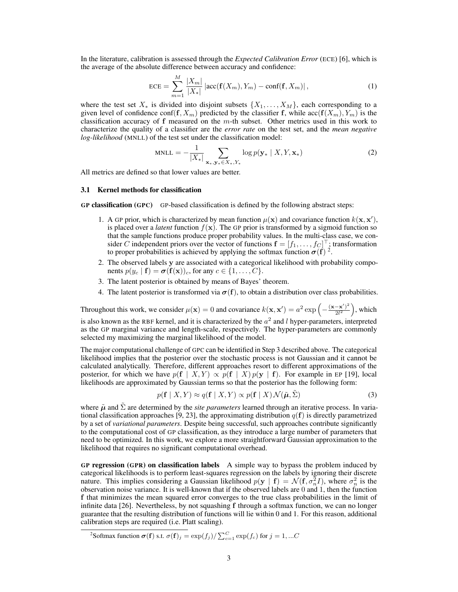In the literature, calibration is assessed through the *Expected Calibration Error* (ECE) [6], which is the average of the absolute difference between accuracy and confidence:

$$
ECE = \sum_{m=1}^{M} \frac{|X_m|}{|X_*|} |\text{acc}(\mathbf{f}(X_m), Y_m) - \text{conf}(\mathbf{f}, X_m)|,
$$
 (1)

where the test set  $X_*$  is divided into disjoint subsets  $\{X_1, \ldots, X_M\}$ , each corresponding to a given level of confidence conf $(f, X_m)$  predicted by the classifier f, while  $\operatorname{acc}(f(X_m), Y_m)$  is the classification accuracy of  $f$  measured on the  $m$ -th subset. Other metrics used in this work to characterize the quality of a classifier are the *error rate* on the test set, and the *mean negative log-likelihood* (MNLL) of the test set under the classification model:

MNLL = 
$$
-\frac{1}{|X_{*}|} \sum_{\mathbf{x}_{*}, \mathbf{y}_{*} \in X_{*}, Y_{*}} \log p(\mathbf{y}_{*} | X, Y, \mathbf{x}_{*})
$$
(2)

All metrics are defined so that lower values are better.

#### 3.1 Kernel methods for classification

GP classification (GPC) GP-based classification is defined by the following abstract steps:

- 1. A GP prior, which is characterized by mean function  $\mu(\mathbf{x})$  and covariance function  $k(\mathbf{x}, \mathbf{x}')$ , is placed over a *latent* function  $f(\mathbf{x})$ . The GP prior is transformed by a sigmoid function so that the sample functions produce proper probability values. In the multi-class case, we consider C independent priors over the vector of functions  $\mathbf{f} = [f_1, \dots, f_C]^\top$ ; transformation to proper probabilities is achieved by applying the softmax function  $\sigma(f)^2$ .
- 2. The observed labels y are associated with a categorical likelihood with probability components  $p(y_c | \mathbf{f}) = \boldsymbol{\sigma}(\mathbf{f}(\mathbf{x}))_c$ , for any  $c \in \{1, \ldots, C\}$ .
- 3. The latent posterior is obtained by means of Bayes' theorem.
- 4. The latent posterior is transformed via  $\sigma(f)$ , to obtain a distribution over class probabilities.

Throughout this work, we consider  $\mu(\mathbf{x}) = 0$  and covariance  $k(\mathbf{x}, \mathbf{x}') = a^2 \exp\left(-\frac{(\mathbf{x} - \mathbf{x}')^2}{2l^2}\right)$  $\frac{(-\mathbf{x}')^2}{2l^2}$ , which is also known as the RBF kernel, and it is characterized by the  $a^2$  and l hyper-parameters, interpreted as the GP marginal variance and length-scale, respectively. The hyper-parameters are commonly selected my maximizing the marginal likelihood of the model.

The major computational challenge of GPC can be identified in Step 3 described above. The categorical likelihood implies that the posterior over the stochastic process is not Gaussian and it cannot be calculated analytically. Therefore, different approaches resort to different approximations of the posterior, for which we have  $p(f | X, Y) \propto p(f | X) p(y | f)$ . For example in EP [19], local likelihoods are approximated by Gaussian terms so that the posterior has the following form:

$$
p(\mathbf{f} \mid X, Y) \approx q(\mathbf{f} \mid X, Y) \propto p(\mathbf{f} \mid X) \mathcal{N}(\tilde{\boldsymbol{\mu}}, \tilde{\boldsymbol{\Sigma}})
$$
 (3)

where  $\tilde{\mu}$  and  $\Sigma$  are determined by the *site parameters* learned through an iterative process. In variational classification approaches [9, 23], the approximating distribution  $q(f)$  is directly parametrized by a set of *variational parameters*. Despite being successful, such approaches contribute significantly to the computational cost of GP classification, as they introduce a large number of parameters that need to be optimized. In this work, we explore a more straightforward Gaussian approximation to the likelihood that requires no significant computational overhead.

GP regression (GPR) on classification labels A simple way to bypass the problem induced by categorical likelihoods is to perform least-squares regression on the labels by ignoring their discrete nature. This implies considering a Gaussian likelihood  $p(y | f) = \mathcal{N}(f, \sigma_n^2 I)$ , where  $\sigma_n^2$  is the observation noise variance. It is well-known that if the observed labels are 0 and 1, then the function f that minimizes the mean squared error converges to the true class probabilities in the limit of infinite data [26]. Nevertheless, by not squashing f through a softmax function, we can no longer guarantee that the resulting distribution of functions will lie within 0 and 1. For this reason, additional calibration steps are required (i.e. Platt scaling).

<sup>&</sup>lt;sup>2</sup>Softmax function  $\boldsymbol{\sigma}(\mathbf{f})$  s.t.  $\sigma(\mathbf{f})_j = \exp(f_j)/\sum_{c=1}^C \exp(f_c)$  for  $j = 1, ...C$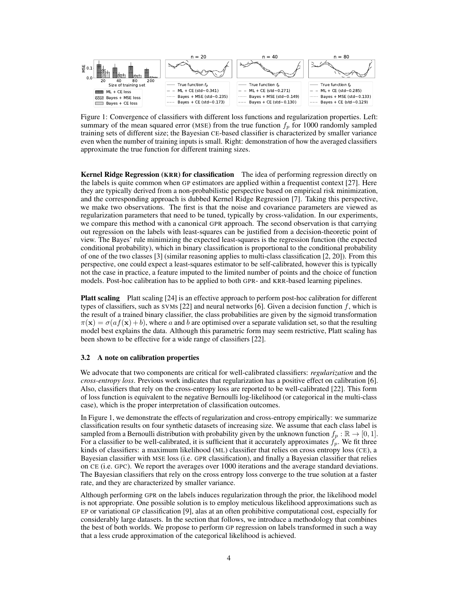

Figure 1: Convergence of classifiers with different loss functions and regularization properties. Left: summary of the mean squared error (MSE) from the true function  $f_p$  for 1000 randomly sampled training sets of different size; the Bayesian CE-based classifier is characterized by smaller variance even when the number of training inputs is small. Right: demonstration of how the averaged classifiers approximate the true function for different training sizes.

Kernel Ridge Regression (KRR) for classification The idea of performing regression directly on the labels is quite common when GP estimators are applied within a frequentist context [27]. Here they are typically derived from a non-probabilistic perspective based on empirical risk minimization, and the corresponding approach is dubbed Kernel Ridge Regression [7]. Taking this perspective, we make two observations. The first is that the noise and covariance parameters are viewed as regularization parameters that need to be tuned, typically by cross-validation. In our experiments, we compare this method with a canonical GPR approach. The second observation is that carrying out regression on the labels with least-squares can be justified from a decision-theoretic point of view. The Bayes' rule minimizing the expected least-squares is the regression function (the expected conditional probability), which in binary classification is proportional to the conditional probability of one of the two classes [3] (similar reasoning applies to multi-class classification [2, 20]). From this perspective, one could expect a least-squares estimator to be self-calibrated, however this is typically not the case in practice, a feature imputed to the limited number of points and the choice of function models. Post-hoc calibration has to be applied to both GPR- and KRR-based learning pipelines.

**Platt scaling** Platt scaling [24] is an effective approach to perform post-hoc calibration for different types of classifiers, such as SVMs  $[22]$  and neural networks  $[6]$ . Given a decision function f, which is the result of a trained binary classifier, the class probabilities are given by the sigmoid transformation  $\pi(\mathbf{x}) = \sigma(a f(\mathbf{x}) + b)$ , where a and b are optimised over a separate validation set, so that the resulting model best explains the data. Although this parametric form may seem restrictive, Platt scaling has been shown to be effective for a wide range of classifiers [22].

#### 3.2 A note on calibration properties

We advocate that two components are critical for well-calibrated classifiers: *regularization* and the *cross-entropy loss*. Previous work indicates that regularization has a positive effect on calibration [6]. Also, classifiers that rely on the cross-entropy loss are reported to be well-calibrated [22]. This form of loss function is equivalent to the negative Bernoulli log-likelihood (or categorical in the multi-class case), which is the proper interpretation of classification outcomes.

In Figure 1, we demonstrate the effects of regularization and cross-entropy empirically: we summarize classification results on four synthetic datasets of increasing size. We assume that each class label is sampled from a Bernoulli distribution with probability given by the unknown function  $f_p : \mathbb{R} \to [0,1]$ . For a classifier to be well-calibrated, it is sufficient that it accurately approximates  $f_p$ . We fit three kinds of classifiers: a maximum likelihood (ML) classifier that relies on cross entropy loss (CE), a Bayesian classifier with MSE loss (i.e. GPR classification), and finally a Bayesian classifier that relies on CE (i.e. GPC). We report the averages over 1000 iterations and the average standard deviations. The Bayesian classifiers that rely on the cross entropy loss converge to the true solution at a faster rate, and they are characterized by smaller variance.

Although performing GPR on the labels induces regularization through the prior, the likelihood model is not appropriate. One possible solution is to employ meticulous likelihood approximations such as EP or variational GP classification [9], alas at an often prohibitive computational cost, especially for considerably large datasets. In the section that follows, we introduce a methodology that combines the best of both worlds. We propose to perform GP regression on labels transformed in such a way that a less crude approximation of the categorical likelihood is achieved.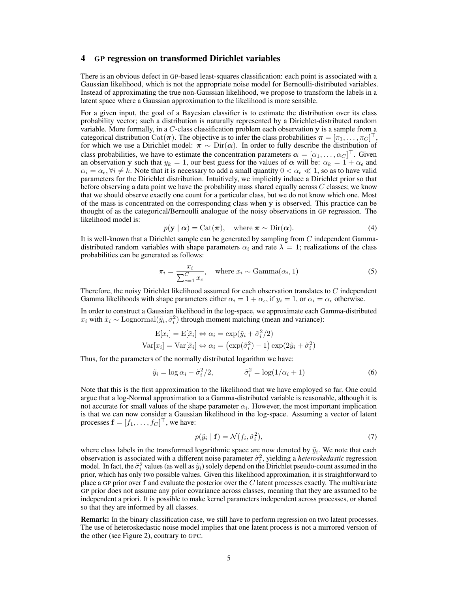## 4 GP regression on transformed Dirichlet variables

There is an obvious defect in GP-based least-squares classification: each point is associated with a Gaussian likelihood, which is not the appropriate noise model for Bernoulli-distributed variables. Instead of approximating the true non-Gaussian likelihood, we propose to transform the labels in a latent space where a Gaussian approximation to the likelihood is more sensible.

For a given input, the goal of a Bayesian classifier is to estimate the distribution over its class probability vector; such a distribution is naturally represented by a Dirichlet-distributed random variable. More formally, in a C-class classification problem each observation y is a sample from a categorical distribution  $\text{Cat}(\pi)$ . The objective is to infer the class probabilities  $\pi = [\pi_1, \dots, \pi_C]^\top$ , for which we use a Dirichlet model:  $\pi \sim \text{Dir}(\alpha)$ . In order to fully describe the distribution of class probabilities, we have to estimate the concentration parameters  $\alpha = [\alpha_1, \dots, \alpha_C]^\top$ . Given an observation y such that  $y_k = 1$ , our best guess for the values of  $\alpha$  will be:  $\alpha_k = 1 + \alpha_{\epsilon}$  and  $\alpha_i = \alpha_{\epsilon}, \forall i \neq k$ . Note that it is necessary to add a small quantity  $0 < \alpha_{\epsilon} \ll 1$ , so as to have valid parameters for the Dirichlet distribution. Intuitively, we implicitly induce a Dirichlet prior so that before observing a data point we have the probability mass shared equally across C classes; we know that we should observe exactly one count for a particular class, but we do not know which one. Most of the mass is concentrated on the corresponding class when y is observed. This practice can be thought of as the categorical/Bernoulli analogue of the noisy observations in GP regression. The likelihood model is:

$$
p(\mathbf{y} \mid \boldsymbol{\alpha}) = \text{Cat}(\boldsymbol{\pi}), \quad \text{where } \boldsymbol{\pi} \sim \text{Dir}(\boldsymbol{\alpha}). \tag{4}
$$

It is well-known that a Dirichlet sample can be generated by sampling from  $C$  independent Gammadistributed random variables with shape parameters  $\alpha_i$  and rate  $\lambda = 1$ ; realizations of the class probabilities can be generated as follows:

$$
\pi_i = \frac{x_i}{\sum_{c=1}^{C} x_c}, \quad \text{where } x_i \sim \text{Gamma}(\alpha_i, 1)
$$
\n(5)

Therefore, the noisy Dirichlet likelihood assumed for each observation translates to  $C$  independent Gamma likelihoods with shape parameters either  $\alpha_i = 1 + \alpha_{\epsilon}$ , if  $y_i = 1$ , or  $\alpha_i = \alpha_{\epsilon}$  otherwise.

In order to construct a Gaussian likelihood in the log-space, we approximate each Gamma-distributed  $x_i$  with  $\tilde{x}_i \sim \text{Lognormal}(\tilde{y}_i, \tilde{\sigma}_i^2)$  through moment matching (mean and variance):

$$
\mathbf{E}[x_i] = \mathbf{E}[\tilde{x}_i] \Leftrightarrow \alpha_i = \exp(\tilde{y}_i + \tilde{\sigma}_i^2/2)
$$

$$
\text{Var}[x_i] = \text{Var}[\tilde{x}_i] \Leftrightarrow \alpha_i = (\exp(\tilde{\sigma}_i^2) - 1) \exp(2\tilde{y}_i + \tilde{\sigma}_i^2)
$$

Thus, for the parameters of the normally distributed logarithm we have:

$$
\tilde{y}_i = \log \alpha_i - \tilde{\sigma}_i^2/2, \qquad \tilde{\sigma}_i^2 = \log(1/\alpha_i + 1) \tag{6}
$$

Note that this is the first approximation to the likelihood that we have employed so far. One could argue that a log-Normal approximation to a Gamma-distributed variable is reasonable, although it is not accurate for small values of the shape parameter  $\alpha_i$ . However, the most important implication is that we can now consider a Gaussian likelihood in the log-space. Assuming a vector of latent processes  $\mathbf{f} = [f_1, \dots, f_C]^\top$ , we have:

$$
p(\tilde{y}_i \mid \mathbf{f}) = \mathcal{N}(f_i, \tilde{\sigma}_i^2),\tag{7}
$$

where class labels in the transformed logarithmic space are now denoted by  $\tilde{y}_i$ . We note that each observation is associated with a different noise parameter  $\tilde{\sigma}_i^2$ , yielding a *heteroskedastic* regression model. In fact, the  $\tilde{\sigma}_i^2$  values (as well as  $\tilde{y}_i$ ) solely depend on the Dirichlet pseudo-count assumed in the prior, which has only two possible values. Given this likelihood approximation, it is straightforward to place a GP prior over  $f$  and evaluate the posterior over the  $C$  latent processes exactly. The multivariate GP prior does not assume any prior covariance across classes, meaning that they are assumed to be independent a priori. It is possible to make kernel parameters independent across processes, or shared so that they are informed by all classes.

Remark: In the binary classification case, we still have to perform regression on two latent processes. The use of heteroskedastic noise model implies that one latent process is not a mirrored version of the other (see Figure 2), contrary to GPC.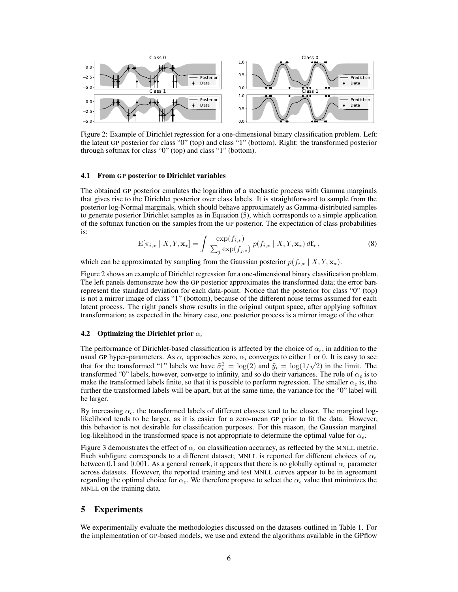

Figure 2: Example of Dirichlet regression for a one-dimensional binary classification problem. Left: the latent GP posterior for class "0" (top) and class "1" (bottom). Right: the transformed posterior through softmax for class "0" (top) and class "1" (bottom).

#### 4.1 From GP posterior to Dirichlet variables

The obtained GP posterior emulates the logarithm of a stochastic process with Gamma marginals that gives rise to the Dirichlet posterior over class labels. It is straightforward to sample from the posterior log-Normal marginals, which should behave approximately as Gamma-distributed samples to generate posterior Dirichlet samples as in Equation (5), which corresponds to a simple application of the softmax function on the samples from the GP posterior. The expectation of class probabilities is:

$$
\mathbf{E}[\pi_{i,*} \mid X, Y, \mathbf{x}_*] = \int \frac{\exp(f_{i,*})}{\sum_j \exp(f_{j,*})} p(f_{i,*} \mid X, Y, \mathbf{x}_*) d\mathbf{f}_*,
$$
\n(8)

which can be approximated by sampling from the Gaussian posterior  $p(f_{i,*} | X, Y, \mathbf{x}_*)$ .

Figure 2 shows an example of Dirichlet regression for a one-dimensional binary classification problem. The left panels demonstrate how the GP posterior approximates the transformed data; the error bars represent the standard deviation for each data-point. Notice that the posterior for class "0" (top) is not a mirror image of class "1" (bottom), because of the different noise terms assumed for each latent process. The right panels show results in the original output space, after applying softmax transformation; as expected in the binary case, one posterior process is a mirror image of the other.

#### 4.2 Optimizing the Dirichlet prior  $\alpha_{\epsilon}$

The performance of Dirichlet-based classification is affected by the choice of  $\alpha_{\epsilon}$ , in addition to the usual GP hyper-parameters. As  $\alpha_{\epsilon}$  approaches zero,  $\alpha_i$  converges to either 1 or 0. It is easy to see that for the transformed "1" labels we have  $\tilde{\sigma}_i^2 = \log(2)$  and  $\tilde{y}_i = \log(1/\sqrt{2})$  in the limit. The transformed "0" labels, however, converge to infinity, and so do their variances. The role of  $\alpha_{\epsilon}$  is to make the transformed labels finite, so that it is possible to perform regression. The smaller  $\alpha_{\epsilon}$  is, the further the transformed labels will be apart, but at the same time, the variance for the "0" label will be larger.

By increasing  $\alpha_{\epsilon}$ , the transformed labels of different classes tend to be closer. The marginal loglikelihood tends to be larger, as it is easier for a zero-mean GP prior to fit the data. However, this behavior is not desirable for classification purposes. For this reason, the Gaussian marginal log-likelihood in the transformed space is not appropriate to determine the optimal value for  $\alpha_{\epsilon}$ .

Figure 3 demonstrates the effect of  $\alpha_{\epsilon}$  on classification accuracy, as reflected by the MNLL metric. Each subfigure corresponds to a different dataset; MNLL is reported for different choices of  $\alpha_{\epsilon}$ between 0.1 and 0.001. As a general remark, it appears that there is no globally optimal  $\alpha_{\epsilon}$  parameter across datasets. However, the reported training and test MNLL curves appear to be in agreement regarding the optimal choice for  $\alpha_{\epsilon}$ . We therefore propose to select the  $\alpha_{\epsilon}$  value that minimizes the MNLL on the training data.

## 5 Experiments

We experimentally evaluate the methodologies discussed on the datasets outlined in Table 1. For the implementation of GP-based models, we use and extend the algorithms available in the GPflow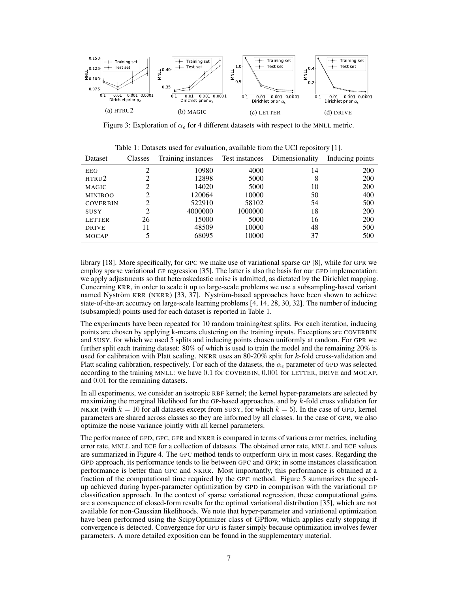

Figure 3: Exploration of  $\alpha_{\epsilon}$  for 4 different datasets with respect to the MNLL metric.

| Dataset         | Classes | rable 1. Banascas asea for evaluation, available from the CCI repositor $y \mid 1$ .<br>Training instances | Test instances | Dimensionality | Inducing points |
|-----------------|---------|------------------------------------------------------------------------------------------------------------|----------------|----------------|-----------------|
| EEG             |         | 10980                                                                                                      | 4000           | 14             | 200             |
| HTRU2           |         | 12898                                                                                                      | 5000           | 8              | 200             |
| MAGIC           |         | 14020                                                                                                      | 5000           | 10             | 200             |
| <b>MINIBOO</b>  |         | 120064                                                                                                     | 10000          | 50             | 400             |
| <b>COVERBIN</b> |         | 522910                                                                                                     | 58102          | 54             | 500             |
| SUSY            | 2       | 4000000                                                                                                    | 1000000        | 18             | 200             |
| <b>LETTER</b>   | 26      | 15000                                                                                                      | 5000           | 16             | 200             |
| <b>DRIVE</b>    | 11      | 48509                                                                                                      | 10000          | 48             | 500             |
| <b>MOCAP</b>    |         | 68095                                                                                                      | 10000          | 37             | 500             |

Table 1: Datasets used for evaluation, available from the UCI repository [1].

library [18]. More specifically, for GPC we make use of variational sparse GP [8], while for GPR we employ sparse variational GP regression [35]. The latter is also the basis for our GPD implementation: we apply adjustments so that heteroskedastic noise is admitted, as dictated by the Dirichlet mapping. Concerning KRR, in order to scale it up to large-scale problems we use a subsampling-based variant named Nyström KRR (NKRR) [33, 37]. Nyström-based approaches have been shown to achieve state-of-the-art accuracy on large-scale learning problems [4, 14, 28, 30, 32]. The number of inducing (subsampled) points used for each dataset is reported in Table 1.

The experiments have been repeated for 10 random training/test splits. For each iteration, inducing points are chosen by applying k-means clustering on the training inputs. Exceptions are COVERBIN and SUSY, for which we used 5 splits and inducing points chosen uniformly at random. For GPR we further split each training dataset: 80% of which is used to train the model and the remaining 20% is used for calibration with Platt scaling. NKRR uses an 80-20% split for k-fold cross-validation and Platt scaling calibration, respectively. For each of the datasets, the  $\alpha_{\epsilon}$  parameter of GPD was selected according to the training MNLL: we have 0.1 for COVERBIN, 0.001 for LETTER, DRIVE and MOCAP, and 0.01 for the remaining datasets.

In all experiments, we consider an isotropic RBF kernel; the kernel hyper-parameters are selected by maximizing the marginal likelihood for the GP-based approaches, and by k-fold cross validation for NKRR (with  $k = 10$  for all datasets except from SUSY, for which  $k = 5$ ). In the case of GPD, kernel parameters are shared across classes so they are informed by all classes. In the case of GPR, we also optimize the noise variance jointly with all kernel parameters.

The performance of GPD, GPC, GPR and NKRR is compared in terms of various error metrics, including error rate, MNLL and ECE for a collection of datasets. The obtained error rate, MNLL and ECE values are summarized in Figure 4. The GPC method tends to outperform GPR in most cases. Regarding the GPD approach, its performance tends to lie between GPC and GPR; in some instances classification performance is better than GPC and NKRR. Most importantly, this performance is obtained at a fraction of the computational time required by the GPC method. Figure 5 summarizes the speedup achieved during hyper-parameter optimization by GPD in comparison with the variational GP classification approach. In the context of sparse variational regression, these computational gains are a consequence of closed-form results for the optimal variational distribution [35], which are not available for non-Gaussian likelihoods. We note that hyper-parameter and variational optimization have been performed using the ScipyOptimizer class of GPflow, which applies early stopping if convergence is detected. Convergence for GPD is faster simply because optimization involves fewer parameters. A more detailed exposition can be found in the supplementary material.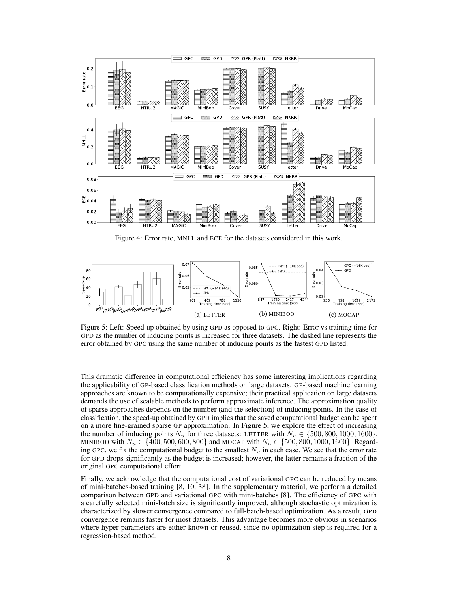

Figure 4: Error rate, MNLL and ECE for the datasets considered in this work.



Figure 5: Left: Speed-up obtained by using GPD as opposed to GPC. Right: Error vs training time for GPD as the number of inducing points is increased for three datasets. The dashed line represents the error obtained by GPC using the same number of inducing points as the fastest GPD listed.

This dramatic difference in computational efficiency has some interesting implications regarding the applicability of GP-based classification methods on large datasets. GP-based machine learning approaches are known to be computationally expensive; their practical application on large datasets demands the use of scalable methods to perform approximate inference. The approximation quality of sparse approaches depends on the number (and the selection) of inducing points. In the case of classification, the speed-up obtained by GPD implies that the saved computational budget can be spent on a more fine-grained sparse GP approximation. In Figure 5, we explore the effect of increasing the number of inducing points  $N_u$  for three datasets: LETTER with  $N_u \in \{500, 800, 1000, 1600\}$ , MINIBOO with  $N_u \in \{400, 500, 600, 800\}$  and MOCAP with  $N_u \in \{500, 800, 1000, 1600\}$ . Regarding GPC, we fix the computational budget to the smallest  $N_u$  in each case. We see that the error rate for GPD drops significantly as the budget is increased; however, the latter remains a fraction of the original GPC computational effort.

Finally, we acknowledge that the computational cost of variational GPC can be reduced by means of mini-batches-based training [8, 10, 38]. In the supplementary material, we perform a detailed comparison between GPD and variational GPC with mini-batches [8]. The efficiency of GPC with a carefully selected mini-batch size is significantly improved, although stochastic optimization is characterized by slower convergence compared to full-batch-based optimization. As a result, GPD convergence remains faster for most datasets. This advantage becomes more obvious in scenarios where hyper-parameters are either known or reused, since no optimization step is required for a regression-based method.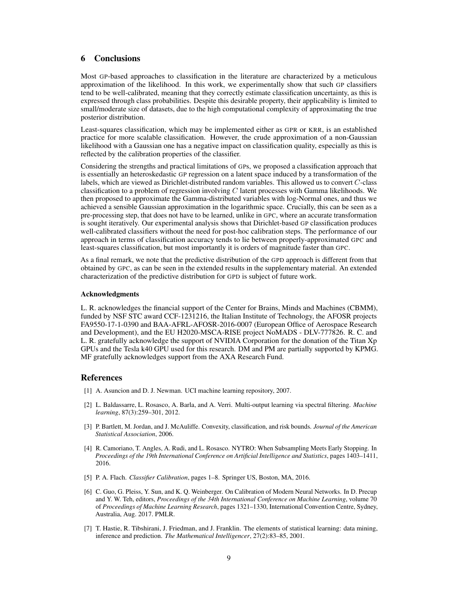## 6 Conclusions

Most GP-based approaches to classification in the literature are characterized by a meticulous approximation of the likelihood. In this work, we experimentally show that such GP classifiers tend to be well-calibrated, meaning that they correctly estimate classification uncertainty, as this is expressed through class probabilities. Despite this desirable property, their applicability is limited to small/moderate size of datasets, due to the high computational complexity of approximating the true posterior distribution.

Least-squares classification, which may be implemented either as GPR or KRR, is an established practice for more scalable classification. However, the crude approximation of a non-Gaussian likelihood with a Gaussian one has a negative impact on classification quality, especially as this is reflected by the calibration properties of the classifier.

Considering the strengths and practical limitations of GPs, we proposed a classification approach that is essentially an heteroskedastic GP regression on a latent space induced by a transformation of the labels, which are viewed as Dirichlet-distributed random variables. This allowed us to convert C-class classification to a problem of regression involving  $C$  latent processes with Gamma likelihoods. We then proposed to approximate the Gamma-distributed variables with log-Normal ones, and thus we achieved a sensible Gaussian approximation in the logarithmic space. Crucially, this can be seen as a pre-processing step, that does not have to be learned, unlike in GPC, where an accurate transformation is sought iteratively. Our experimental analysis shows that Dirichlet-based GP classification produces well-calibrated classifiers without the need for post-hoc calibration steps. The performance of our approach in terms of classification accuracy tends to lie between properly-approximated GPC and least-squares classification, but most importantly it is orders of magnitude faster than GPC.

As a final remark, we note that the predictive distribution of the GPD approach is different from that obtained by GPC, as can be seen in the extended results in the supplementary material. An extended characterization of the predictive distribution for GPD is subject of future work.

### Acknowledgments

L. R. acknowledges the financial support of the Center for Brains, Minds and Machines (CBMM), funded by NSF STC award CCF-1231216, the Italian Institute of Technology, the AFOSR projects FA9550-17-1-0390 and BAA-AFRL-AFOSR-2016-0007 (European Office of Aerospace Research and Development), and the EU H2020-MSCA-RISE project NoMADS - DLV-777826. R. C. and L. R. gratefully acknowledge the support of NVIDIA Corporation for the donation of the Titan Xp GPUs and the Tesla k40 GPU used for this research. DM and PM are partially supported by KPMG. MF gratefully acknowledges support from the AXA Research Fund.

## References

- [1] A. Asuncion and D. J. Newman. UCI machine learning repository, 2007.
- [2] L. Baldassarre, L. Rosasco, A. Barla, and A. Verri. Multi-output learning via spectral filtering. *Machine learning*, 87(3):259–301, 2012.
- [3] P. Bartlett, M. Jordan, and J. McAuliffe. Convexity, classification, and risk bounds. *Journal of the American Statistical Association*, 2006.
- [4] R. Camoriano, T. Angles, A. Rudi, and L. Rosasco. NYTRO: When Subsampling Meets Early Stopping. In *Proceedings of the 19th International Conference on Artificial Intelligence and Statistics*, pages 1403–1411, 2016.
- [5] P. A. Flach. *Classifier Calibration*, pages 1–8. Springer US, Boston, MA, 2016.
- [6] C. Guo, G. Pleiss, Y. Sun, and K. Q. Weinberger. On Calibration of Modern Neural Networks. In D. Precup and Y. W. Teh, editors, *Proceedings of the 34th International Conference on Machine Learning*, volume 70 of *Proceedings of Machine Learning Research*, pages 1321–1330, International Convention Centre, Sydney, Australia, Aug. 2017. PMLR.
- [7] T. Hastie, R. Tibshirani, J. Friedman, and J. Franklin. The elements of statistical learning: data mining, inference and prediction. *The Mathematical Intelligencer*, 27(2):83–85, 2001.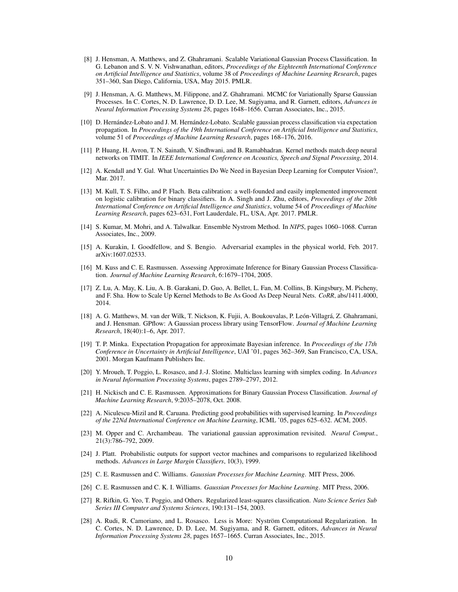- [8] J. Hensman, A. Matthews, and Z. Ghahramani. Scalable Variational Gaussian Process Classification. In G. Lebanon and S. V. N. Vishwanathan, editors, *Proceedings of the Eighteenth International Conference on Artificial Intelligence and Statistics*, volume 38 of *Proceedings of Machine Learning Research*, pages 351–360, San Diego, California, USA, May 2015. PMLR.
- [9] J. Hensman, A. G. Matthews, M. Filippone, and Z. Ghahramani. MCMC for Variationally Sparse Gaussian Processes. In C. Cortes, N. D. Lawrence, D. D. Lee, M. Sugiyama, and R. Garnett, editors, *Advances in Neural Information Processing Systems 28*, pages 1648–1656. Curran Associates, Inc., 2015.
- [10] D. Hernández-Lobato and J. M. Hernández-Lobato. Scalable gaussian process classification via expectation propagation. In *Proceedings of the 19th International Conference on Artificial Intelligence and Statistics*, volume 51 of *Proceedings of Machine Learning Research*, pages 168–176, 2016.
- [11] P. Huang, H. Avron, T. N. Sainath, V. Sindhwani, and B. Ramabhadran. Kernel methods match deep neural networks on TIMIT. In *IEEE International Conference on Acoustics, Speech and Signal Processing*, 2014.
- [12] A. Kendall and Y. Gal. What Uncertainties Do We Need in Bayesian Deep Learning for Computer Vision?, Mar. 2017.
- [13] M. Kull, T. S. Filho, and P. Flach. Beta calibration: a well-founded and easily implemented improvement on logistic calibration for binary classifiers. In A. Singh and J. Zhu, editors, *Proceedings of the 20th International Conference on Artificial Intelligence and Statistics*, volume 54 of *Proceedings of Machine Learning Research*, pages 623–631, Fort Lauderdale, FL, USA, Apr. 2017. PMLR.
- [14] S. Kumar, M. Mohri, and A. Talwalkar. Ensemble Nystrom Method. In *NIPS*, pages 1060–1068. Curran Associates, Inc., 2009.
- [15] A. Kurakin, I. Goodfellow, and S. Bengio. Adversarial examples in the physical world, Feb. 2017. arXiv:1607.02533.
- [16] M. Kuss and C. E. Rasmussen. Assessing Approximate Inference for Binary Gaussian Process Classification. *Journal of Machine Learning Research*, 6:1679–1704, 2005.
- [17] Z. Lu, A. May, K. Liu, A. B. Garakani, D. Guo, A. Bellet, L. Fan, M. Collins, B. Kingsbury, M. Picheny, and F. Sha. How to Scale Up Kernel Methods to Be As Good As Deep Neural Nets. *CoRR*, abs/1411.4000, 2014.
- [18] A. G. Matthews, M. van der Wilk, T. Nickson, K. Fujii, A. Boukouvalas, P. León-Villagrá, Z. Ghahramani, and J. Hensman. GPflow: A Gaussian process library using TensorFlow. *Journal of Machine Learning Research*, 18(40):1–6, Apr. 2017.
- [19] T. P. Minka. Expectation Propagation for approximate Bayesian inference. In *Proceedings of the 17th Conference in Uncertainty in Artificial Intelligence*, UAI '01, pages 362–369, San Francisco, CA, USA, 2001. Morgan Kaufmann Publishers Inc.
- [20] Y. Mroueh, T. Poggio, L. Rosasco, and J.-J. Slotine. Multiclass learning with simplex coding. In *Advances in Neural Information Processing Systems*, pages 2789–2797, 2012.
- [21] H. Nickisch and C. E. Rasmussen. Approximations for Binary Gaussian Process Classification. *Journal of Machine Learning Research*, 9:2035–2078, Oct. 2008.
- [22] A. Niculescu-Mizil and R. Caruana. Predicting good probabilities with supervised learning. In *Proceedings of the 22Nd International Conference on Machine Learning*, ICML '05, pages 625–632. ACM, 2005.
- [23] M. Opper and C. Archambeau. The variational gaussian approximation revisited. *Neural Comput.*, 21(3):786–792, 2009.
- [24] J. Platt. Probabilistic outputs for support vector machines and comparisons to regularized likelihood methods. *Advances in Large Margin Classifiers*, 10(3), 1999.
- [25] C. E. Rasmussen and C. Williams. *Gaussian Processes for Machine Learning*. MIT Press, 2006.
- [26] C. E. Rasmussen and C. K. I. Williams. *Gaussian Processes for Machine Learning*. MIT Press, 2006.
- [27] R. Rifkin, G. Yeo, T. Poggio, and Others. Regularized least-squares classification. *Nato Science Series Sub Series III Computer and Systems Sciences*, 190:131–154, 2003.
- [28] A. Rudi, R. Camoriano, and L. Rosasco. Less is More: Nyström Computational Regularization. In C. Cortes, N. D. Lawrence, D. D. Lee, M. Sugiyama, and R. Garnett, editors, *Advances in Neural Information Processing Systems 28*, pages 1657–1665. Curran Associates, Inc., 2015.